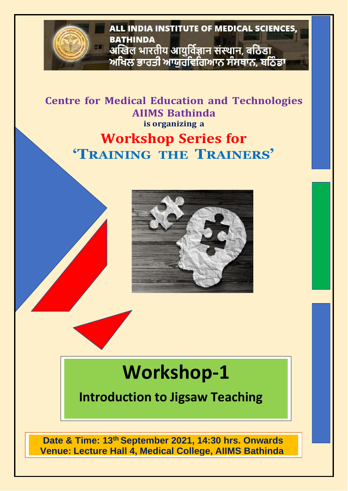

**Centre for Medical Education and Technologies AIIMS Bathinda is organizing a**

#### **Workshop Series for 'TRAINING THE TRAINERS'**



# **Workshop-1**

**Introduction to Jigsaw Teaching**

**Date & Time: 13th September 2021, 14:30 hrs. Onwards Venue: Lecture Hall 4, Medical College, AIIMS Bathinda**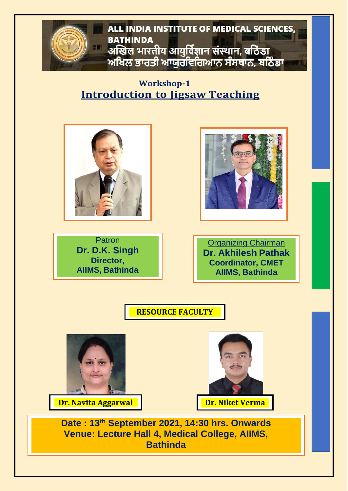ALL INDIA INSTITUTE OF MEDICAL SCIENCES. **BATHINDA** अखिल भारतीय आयुर्विज्ञान संस्थान, बठिंडा ਅਖਿਲ ਭਾਰਤੀ ਆਯੁਰਵਿਗਿਆਨ ਸੰਸਥਾਨ, ਬਠਿੰਡਾ

**Workshop-1 Introduction to Jigsaw Teaching**



Patron **Dr. D.K. Singh Director, AIIMS, Bathinda**





**RESOURCE FACULTY**



**Dr. Navita Aggarwal Dr. Dr. Niket Verma** 



**Date : 13th September 2021, 14:30 hrs. Onwards Venue: Lecture Hall 4, Medical College, AIIMS, Bathinda**